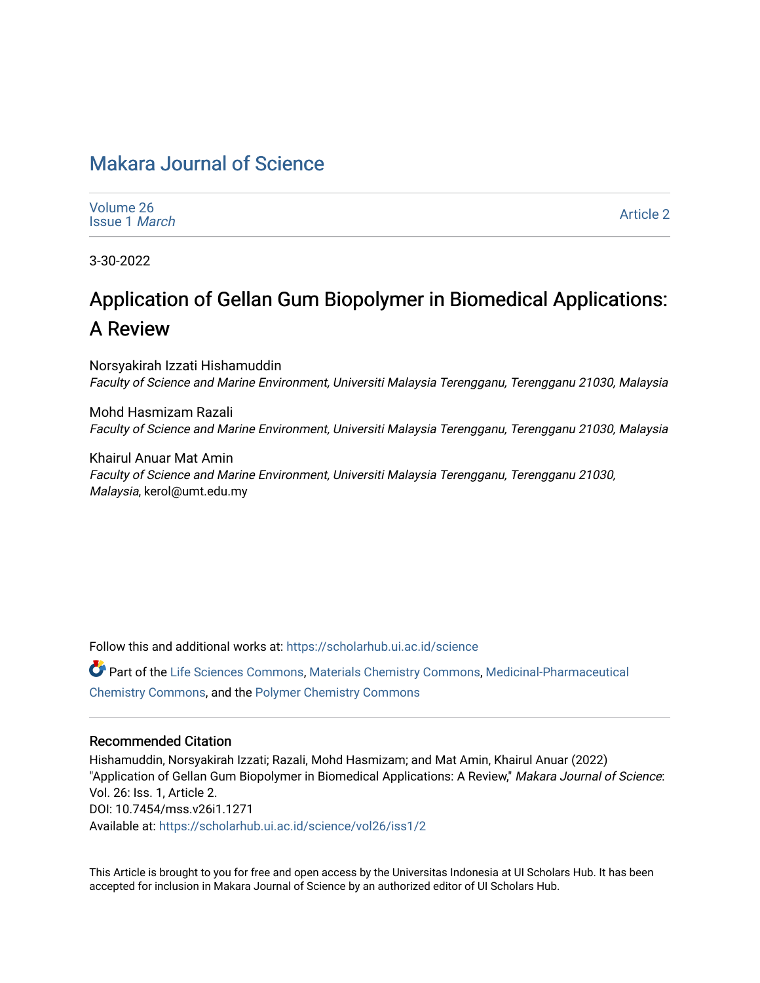# [Makara Journal of Science](https://scholarhub.ui.ac.id/science)

| Volume 26<br><b>Issue 1 March</b> | <b>Article 2</b> |
|-----------------------------------|------------------|
|-----------------------------------|------------------|

3-30-2022

# Application of Gellan Gum Biopolymer in Biomedical Applications: A Review

Norsyakirah Izzati Hishamuddin Faculty of Science and Marine Environment, Universiti Malaysia Terengganu, Terengganu 21030, Malaysia

Mohd Hasmizam Razali Faculty of Science and Marine Environment, Universiti Malaysia Terengganu, Terengganu 21030, Malaysia

Khairul Anuar Mat Amin Faculty of Science and Marine Environment, Universiti Malaysia Terengganu, Terengganu 21030, Malaysia, kerol@umt.edu.my

Follow this and additional works at: [https://scholarhub.ui.ac.id/science](https://scholarhub.ui.ac.id/science?utm_source=scholarhub.ui.ac.id%2Fscience%2Fvol26%2Fiss1%2F2&utm_medium=PDF&utm_campaign=PDFCoverPages) 

Part of the [Life Sciences Commons,](http://network.bepress.com/hgg/discipline/1016?utm_source=scholarhub.ui.ac.id%2Fscience%2Fvol26%2Fiss1%2F2&utm_medium=PDF&utm_campaign=PDFCoverPages) [Materials Chemistry Commons](http://network.bepress.com/hgg/discipline/135?utm_source=scholarhub.ui.ac.id%2Fscience%2Fvol26%2Fiss1%2F2&utm_medium=PDF&utm_campaign=PDFCoverPages), [Medicinal-Pharmaceutical](http://network.bepress.com/hgg/discipline/136?utm_source=scholarhub.ui.ac.id%2Fscience%2Fvol26%2Fiss1%2F2&utm_medium=PDF&utm_campaign=PDFCoverPages)  [Chemistry Commons,](http://network.bepress.com/hgg/discipline/136?utm_source=scholarhub.ui.ac.id%2Fscience%2Fvol26%2Fiss1%2F2&utm_medium=PDF&utm_campaign=PDFCoverPages) and the [Polymer Chemistry Commons](http://network.bepress.com/hgg/discipline/140?utm_source=scholarhub.ui.ac.id%2Fscience%2Fvol26%2Fiss1%2F2&utm_medium=PDF&utm_campaign=PDFCoverPages) 

#### Recommended Citation

Hishamuddin, Norsyakirah Izzati; Razali, Mohd Hasmizam; and Mat Amin, Khairul Anuar (2022) "Application of Gellan Gum Biopolymer in Biomedical Applications: A Review," Makara Journal of Science: Vol. 26: Iss. 1, Article 2. DOI: 10.7454/mss.v26i1.1271 Available at: [https://scholarhub.ui.ac.id/science/vol26/iss1/2](https://scholarhub.ui.ac.id/science/vol26/iss1/2?utm_source=scholarhub.ui.ac.id%2Fscience%2Fvol26%2Fiss1%2F2&utm_medium=PDF&utm_campaign=PDFCoverPages)

This Article is brought to you for free and open access by the Universitas Indonesia at UI Scholars Hub. It has been accepted for inclusion in Makara Journal of Science by an authorized editor of UI Scholars Hub.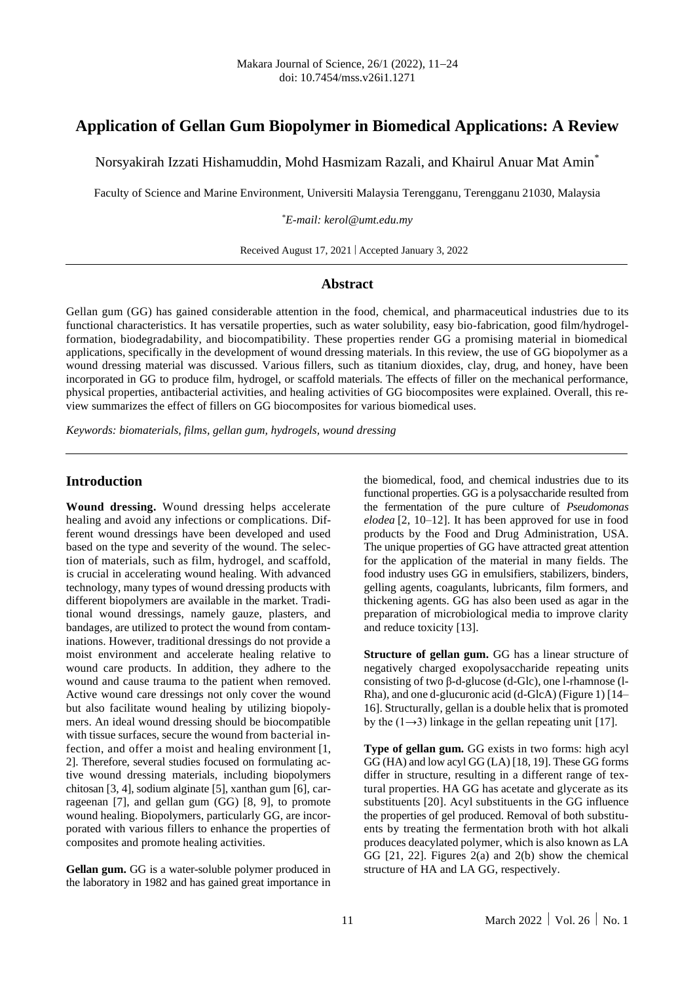## **Application of Gellan Gum Biopolymer in Biomedical Applications: A Review**

Norsyakirah Izzati Hishamuddin, Mohd Hasmizam Razali, and Khairul Anuar Mat Amin\*

Faculty of Science and Marine Environment, Universiti Malaysia Terengganu, Terengganu 21030, Malaysia

*\*E-mail: kerol@umt.edu.my*

Received August 17, 2021 | Accepted January 3, 2022

#### **Abstract**

Gellan gum (GG) has gained considerable attention in the food, chemical, and pharmaceutical industries due to its functional characteristics. It has versatile properties, such as water solubility, easy bio-fabrication, good film/hydrogelformation, biodegradability, and biocompatibility. These properties render GG a promising material in biomedical applications, specifically in the development of wound dressing materials. In this review, the use of GG biopolymer as a wound dressing material was discussed. Various fillers, such as titanium dioxides, clay, drug, and honey, have been incorporated in GG to produce film, hydrogel, or scaffold materials. The effects of filler on the mechanical performance, physical properties, antibacterial activities, and healing activities of GG biocomposites were explained. Overall, this review summarizes the effect of fillers on GG biocomposites for various biomedical uses.

*Keywords: biomaterials, films, gellan gum, hydrogels, wound dressing*

#### **Introduction**

**Wound dressing.** Wound dressing helps accelerate healing and avoid any infections or complications. Different wound dressings have been developed and used based on the type and severity of the wound. The selection of materials, such as film, hydrogel, and scaffold, is crucial in accelerating wound healing. With advanced technology, many types of wound dressing products with different biopolymers are available in the market. Traditional wound dressings, namely gauze, plasters, and bandages, are utilized to protect the wound from contaminations. However, traditional dressings do not provide a moist environment and accelerate healing relative to wound care products. In addition, they adhere to the wound and cause trauma to the patient when removed. Active wound care dressings not only cover the wound but also facilitate wound healing by utilizing biopolymers. An ideal wound dressing should be biocompatible with tissue surfaces, secure the wound from bacterial infection, and offer a moist and healing environment [1, 2]. Therefore, several studies focused on formulating active wound dressing materials, including biopolymers chitosan [3, 4], sodium alginate [5], xanthan gum [6], carrageenan [7], and gellan gum (GG) [8, 9], to promote wound healing. Biopolymers, particularly GG, are incorporated with various fillers to enhance the properties of composites and promote healing activities.

**Gellan gum.** GG is a water-soluble polymer produced in the laboratory in 1982 and has gained great importance in the biomedical, food, and chemical industries due to its functional properties. GG is a polysaccharide resulted from the fermentation of the pure culture of *Pseudomonas elodea* [2, 10–12]. It has been approved for use in food products by the Food and Drug Administration, USA. The unique properties of GG have attracted great attention for the application of the material in many fields. The food industry uses GG in emulsifiers, stabilizers, binders, gelling agents, coagulants, lubricants, film formers, and thickening agents. GG has also been used as agar in the preparation of microbiological media to improve clarity and reduce toxicity [13].

**Structure of gellan gum.** GG has a linear structure of negatively charged exopolysaccharide repeating units consisting of two β-d-glucose (d-Glc), one l-rhamnose (l-Rha), and one d-glucuronic acid (d-GlcA) (Figure 1) [14– 16]. Structurally, gellan is a double helix that is promoted by the  $(1\rightarrow 3)$  linkage in the gellan repeating unit [17].

**Type of gellan gum.** GG exists in two forms: high acyl GG (HA) and low acyl GG (LA) [18, 19]. These GG forms differ in structure, resulting in a different range of textural properties. HA GG has acetate and glycerate as its substituents [20]. Acyl substituents in the GG influence the properties of gel produced. Removal of both substituents by treating the fermentation broth with hot alkali produces deacylated polymer, which is also known as LA GG [21, 22]. Figures 2(a) and 2(b) show the chemical structure of HA and LA GG, respectively.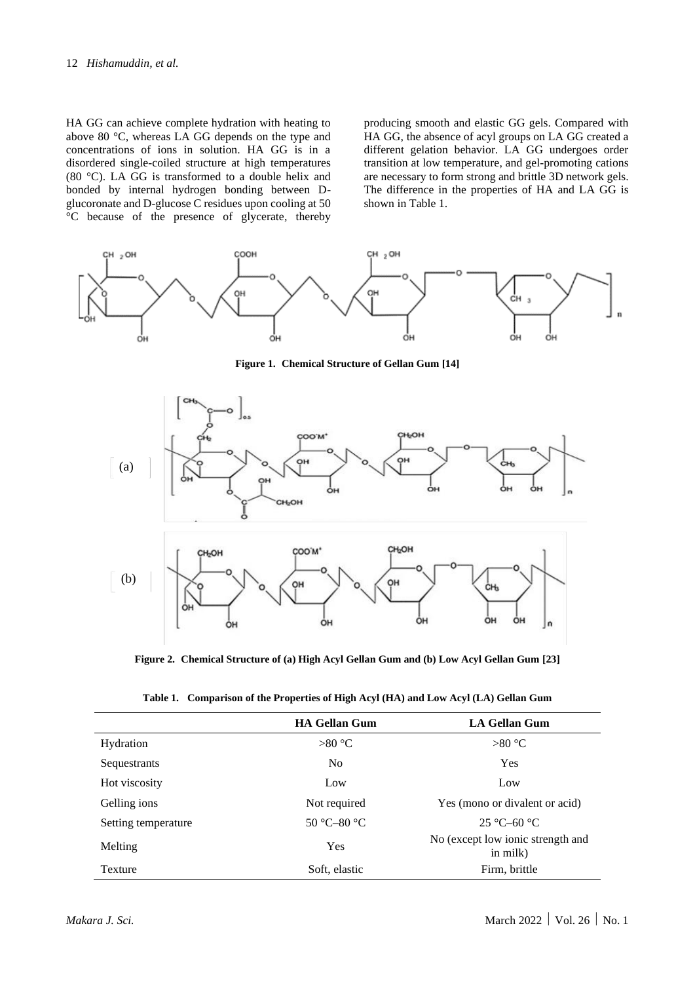HA GG can achieve complete hydration with heating to above 80 °C, whereas LA GG depends on the type and concentrations of ions in solution. HA GG is in a disordered single-coiled structure at high temperatures (80 °C). LA GG is transformed to a double helix and bonded by internal hydrogen bonding between Dglucoronate and D-glucose C residues upon cooling at 50 °C because of the presence of glycerate, thereby producing smooth and elastic GG gels. Compared with HA GG, the absence of acyl groups on LA GG created a different gelation behavior. LA GG undergoes order transition at low temperature, and gel-promoting cations are necessary to form strong and brittle 3D network gels. The difference in the properties of HA and LA GG is shown in Table 1.



**Figure 1. Chemical Structure of Gellan Gum [14]**



**Figure 2. Chemical Structure of (a) High Acyl Gellan Gum and (b) Low Acyl Gellan Gum [23]**

|                     | <b>HA Gellan Gum</b>           | <b>LA Gellan Gum</b>                          |
|---------------------|--------------------------------|-----------------------------------------------|
| Hydration           | $>80^{\circ}$ C                | $>80^{\circ}$ C                               |
| Sequestrants        | N <sub>o</sub>                 | Yes                                           |
| Hot viscosity       | Low                            | Low                                           |
| Gelling ions        | Not required                   | Yes (mono or divalent or acid)                |
| Setting temperature | $50^{\circ}$ C-80 $^{\circ}$ C | $25^{\circ}$ C-60 $^{\circ}$ C                |
| Melting             | Yes                            | No (except low ionic strength and<br>in milk) |
| Texture             | Soft, elastic                  | Firm, brittle                                 |

|  |  |  |  |  | Table 1. Comparison of the Properties of High Acyl (HA) and Low Acyl (LA) Gellan Gum |
|--|--|--|--|--|--------------------------------------------------------------------------------------|
|--|--|--|--|--|--------------------------------------------------------------------------------------|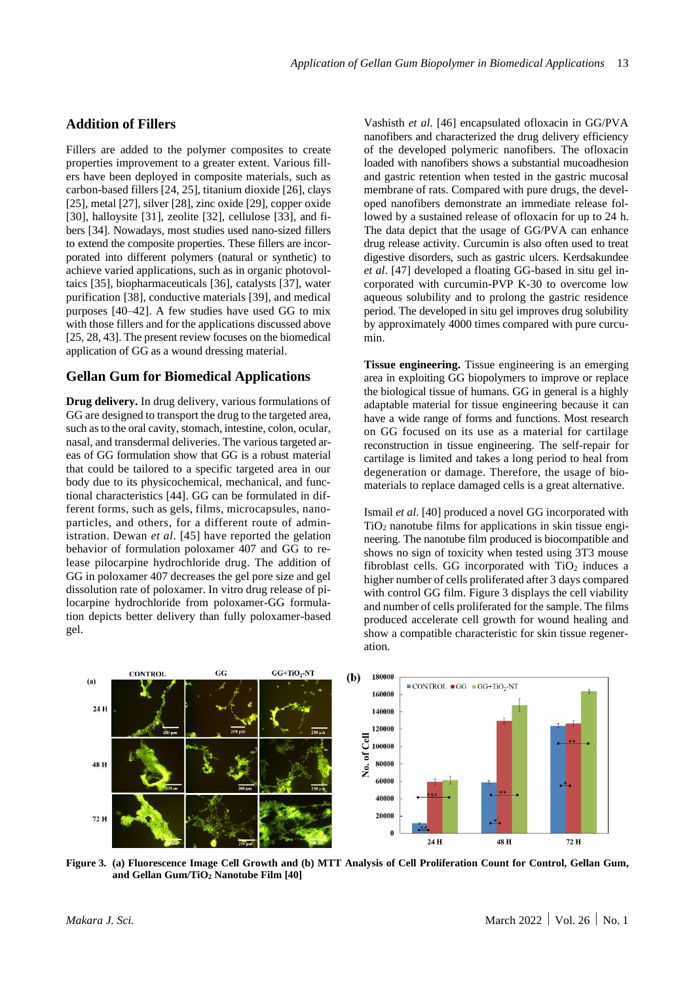#### **Addition of Fillers**

Fillers are added to the polymer composites to create properties improvement to a greater extent. Various fillers have been deployed in composite materials, such as carbon-based fillers [24, 25], titanium dioxide [26], clays [25], metal [27], silver [28], zinc oxide [29], copper oxide [30], halloysite [31], zeolite [32], cellulose [33], and fibers [34]. Nowadays, most studies used nano-sized fillers to extend the composite properties. These fillers are incorporated into different polymers (natural or synthetic) to achieve varied applications, such as in organic photovoltaics [35], biopharmaceuticals [36], catalysts [37], water purification [38], conductive materials [39], and medical purposes [40–42]. A few studies have used GG to mix with those fillers and for the applications discussed above [25, 28, 43]. The present review focuses on the biomedical application of GG as a wound dressing material.

#### **Gellan Gum for Biomedical Applications**

**Drug delivery.** In drug delivery, various formulations of GG are designed to transport the drug to the targeted area, such as to the oral cavity, stomach, intestine, colon, ocular, nasal, and transdermal deliveries. The various targeted areas of GG formulation show that GG is a robust material that could be tailored to a specific targeted area in our body due to its physicochemical, mechanical, and functional characteristics [44]. GG can be formulated in different forms, such as gels, films, microcapsules, nanoparticles, and others, for a different route of administration. Dewan *et al*. [45] have reported the gelation behavior of formulation poloxamer 407 and GG to release pilocarpine hydrochloride drug. The addition of GG in poloxamer 407 decreases the gel pore size and gel dissolution rate of poloxamer. In vitro drug release of pilocarpine hydrochloride from poloxamer-GG formulation depicts better delivery than fully poloxamer-based gel.

Vashisth *et al*. [46] encapsulated ofloxacin in GG/PVA nanofibers and characterized the drug delivery efficiency of the developed polymeric nanofibers. The ofloxacin loaded with nanofibers shows a substantial mucoadhesion and gastric retention when tested in the gastric mucosal membrane of rats. Compared with pure drugs, the developed nanofibers demonstrate an immediate release followed by a sustained release of ofloxacin for up to 24 h. The data depict that the usage of GG/PVA can enhance drug release activity. Curcumin is also often used to treat digestive disorders, such as gastric ulcers. Kerdsakundee *et al*. [47] developed a floating GG-based in situ gel incorporated with curcumin-PVP K-30 to overcome low aqueous solubility and to prolong the gastric residence period. The developed in situ gel improves drug solubility by approximately 4000 times compared with pure curcumin.

**Tissue engineering.** Tissue engineering is an emerging area in exploiting GG biopolymers to improve or replace the biological tissue of humans. GG in general is a highly adaptable material for tissue engineering because it can have a wide range of forms and functions. Most research on GG focused on its use as a material for cartilage reconstruction in tissue engineering. The self-repair for cartilage is limited and takes a long period to heal from degeneration or damage. Therefore, the usage of biomaterials to replace damaged cells is a great alternative.

Ismail *et al*. [40] produced a novel GG incorporated with  $TiO<sub>2</sub>$  nanotube films for applications in skin tissue engineering. The nanotube film produced is biocompatible and shows no sign of toxicity when tested using 3T3 mouse fibroblast cells. GG incorporated with  $TiO<sub>2</sub>$  induces a higher number of cells proliferated after 3 days compared with control GG film. Figure 3 displays the cell viability and number of cells proliferated for the sample. The films produced accelerate cell growth for wound healing and show a compatible characteristic for skin tissue regeneration.

![](_page_3_Figure_8.jpeg)

**Figure 3. (a) Fluorescence Image Cell Growth and (b) MTT Analysis of Cell Proliferation Count for Control, Gellan Gum, and Gellan Gum/TiO<sup>2</sup> Nanotube Film [40]**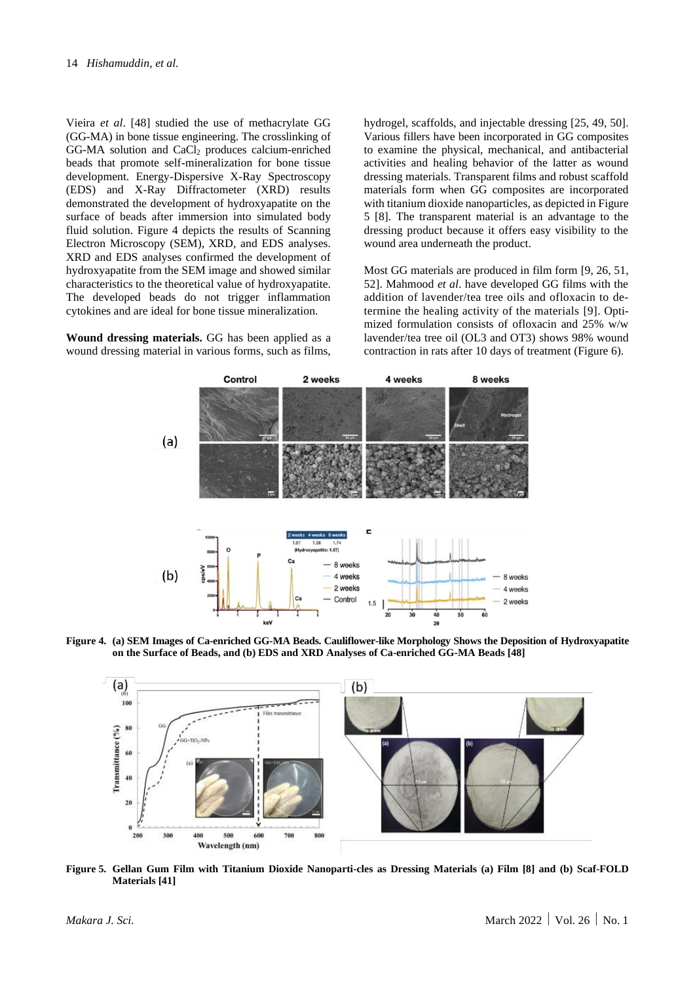Vieira *et al*. [48] studied the use of methacrylate GG (GG-MA) in bone tissue engineering. The crosslinking of  $GG-MA$  solution and  $CaCl<sub>2</sub>$  produces calcium-enriched beads that promote self-mineralization for bone tissue development. Energy-Dispersive X-Ray Spectroscopy (EDS) and X-Ray Diffractometer (XRD) results demonstrated the development of hydroxyapatite on the surface of beads after immersion into simulated body fluid solution. Figure 4 depicts the results of Scanning Electron Microscopy (SEM), XRD, and EDS analyses. XRD and EDS analyses confirmed the development of hydroxyapatite from the SEM image and showed similar characteristics to the theoretical value of hydroxyapatite. The developed beads do not trigger inflammation cytokines and are ideal for bone tissue mineralization.

**Wound dressing materials.** GG has been applied as a wound dressing material in various forms, such as films,

hydrogel, scaffolds, and injectable dressing [25, 49, 50]. Various fillers have been incorporated in GG composites to examine the physical, mechanical, and antibacterial activities and healing behavior of the latter as wound dressing materials. Transparent films and robust scaffold materials form when GG composites are incorporated with titanium dioxide nanoparticles, as depicted in Figure 5 [8]. The transparent material is an advantage to the dressing product because it offers easy visibility to the wound area underneath the product.

Most GG materials are produced in film form [9, 26, 51, 52]. Mahmood *et al*. have developed GG films with the addition of lavender/tea tree oils and ofloxacin to determine the healing activity of the materials [9]. Optimized formulation consists of ofloxacin and 25% w/w lavender/tea tree oil (OL3 and OT3) shows 98% wound contraction in rats after 10 days of treatment (Figure 6).

![](_page_4_Figure_5.jpeg)

**Figure 4. (a) SEM Images of Ca-enriched GG-MA Beads. Cauliflower-like Morphology Shows the Deposition of Hydroxyapatite on the Surface of Beads, and (b) EDS and XRD Analyses of Ca-enriched GG-MA Beads [48]**

![](_page_4_Figure_7.jpeg)

**Figure 5. Gellan Gum Film with Titanium Dioxide Nanoparti-cles as Dressing Materials (a) Film [8] and (b) Scaf-FOLD Materials [41]**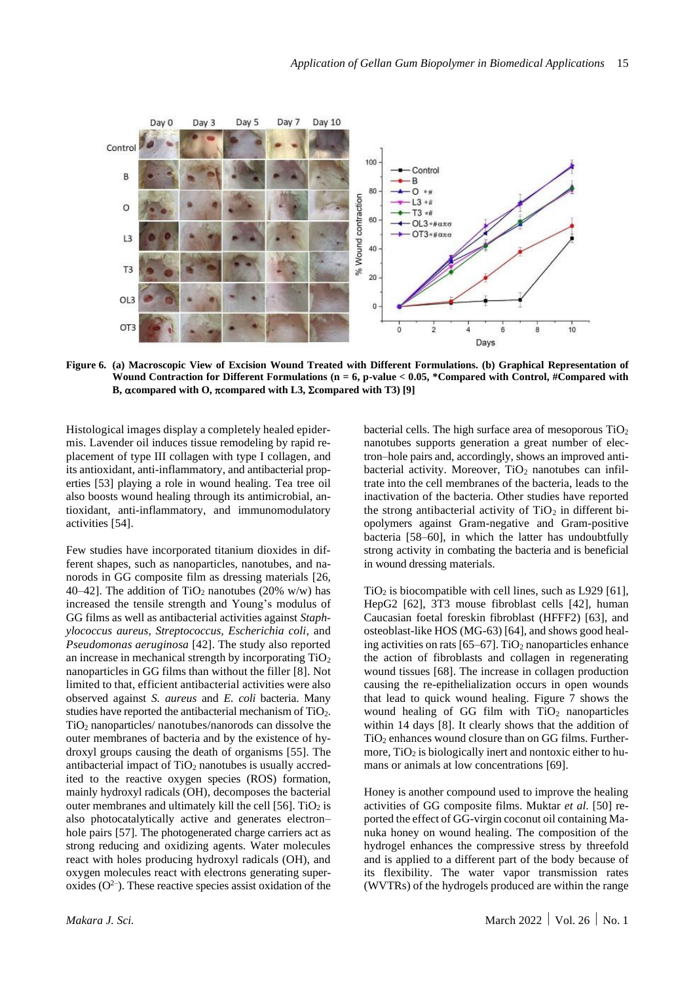![](_page_5_Figure_1.jpeg)

**Figure 6. (a) Macroscopic View of Excision Wound Treated with Different Formulations. (b) Graphical Representation of Wound Contraction for Different Formulations (n = 6, p-value < 0.05, \*Compared with Control, #Compared with B, compared with O, compared with L3, compared with T3) [9]**

Histological images display a completely healed epidermis. Lavender oil induces tissue remodeling by rapid replacement of type III collagen with type I collagen, and its antioxidant, anti-inflammatory, and antibacterial properties [53] playing a role in wound healing. Tea tree oil also boosts wound healing through its antimicrobial, antioxidant, anti-inflammatory, and immunomodulatory activities [54].

Few studies have incorporated titanium dioxides in different shapes, such as nanoparticles, nanotubes, and nanorods in GG composite film as dressing materials [26, 40–42]. The addition of TiO<sub>2</sub> nanotubes (20% w/w) has increased the tensile strength and Young's modulus of GG films as well as antibacterial activities against *Staphylococcus aureus, Streptococcus, Escherichia coli*, and *Pseudomonas aeruginosa* [42]. The study also reported an increase in mechanical strength by incorporating TiO<sup>2</sup> nanoparticles in GG films than without the filler [8]. Not limited to that, efficient antibacterial activities were also observed against *S. aureus* and *E. coli* bacteria. Many studies have reported the antibacterial mechanism of TiO2. TiO<sup>2</sup> nanoparticles/ nanotubes/nanorods can dissolve the outer membranes of bacteria and by the existence of hydroxyl groups causing the death of organisms [55]. The antibacterial impact of  $TiO<sub>2</sub>$  nanotubes is usually accredited to the reactive oxygen species (ROS) formation, mainly hydroxyl radicals (OH), decomposes the bacterial outer membranes and ultimately kill the cell  $[56]$ . TiO<sub>2</sub> is also photocatalytically active and generates electron– hole pairs [57]. The photogenerated charge carriers act as strong reducing and oxidizing agents. Water molecules react with holes producing hydroxyl radicals (OH), and oxygen molecules react with electrons generating superoxides  $(O<sup>2</sup>)$ . These reactive species assist oxidation of the bacterial cells. The high surface area of mesoporous  $TiO<sub>2</sub>$ nanotubes supports generation a great number of electron–hole pairs and, accordingly, shows an improved antibacterial activity. Moreover,  $TiO<sub>2</sub>$  nanotubes can infiltrate into the cell membranes of the bacteria, leads to the inactivation of the bacteria. Other studies have reported the strong antibacterial activity of  $TiO<sub>2</sub>$  in different biopolymers against Gram-negative and Gram-positive bacteria [58–60], in which the latter has undoubtfully strong activity in combating the bacteria and is beneficial in wound dressing materials.

 $TiO<sub>2</sub>$  is biocompatible with cell lines, such as L929 [61], HepG2 [62], 3T3 mouse fibroblast cells [42], human Caucasian foetal foreskin fibroblast (HFFF2) [63], and osteoblast-like HOS (MG-63) [64], and shows good healing activities on rats  $[65–67]$ . TiO<sub>2</sub> nanoparticles enhance the action of fibroblasts and collagen in regenerating wound tissues [68]. The increase in collagen production causing the re-epithelialization occurs in open wounds that lead to quick wound healing. Figure 7 shows the wound healing of GG film with  $TiO<sub>2</sub>$  nanoparticles within 14 days [8]. It clearly shows that the addition of  $TiO<sub>2</sub>$  enhances wound closure than on GG films. Furthermore,  $TiO<sub>2</sub>$  is biologically inert and nontoxic either to humans or animals at low concentrations [69].

Honey is another compound used to improve the healing activities of GG composite films. Muktar *et al*. [50] reported the effect of GG-virgin coconut oil containing Manuka honey on wound healing. The composition of the hydrogel enhances the compressive stress by threefold and is applied to a different part of the body because of its flexibility. The water vapor transmission rates (WVTRs) of the hydrogels produced are within the range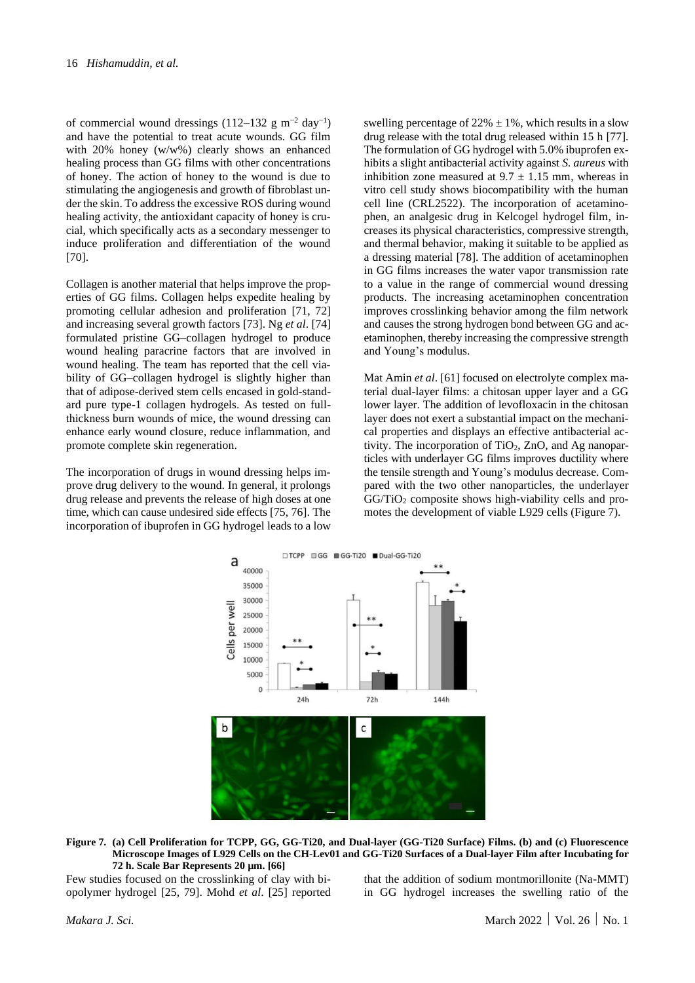of commercial wound dressings  $(112-132 \text{ g m}^{-2} \text{ day}^{-1})$ and have the potential to treat acute wounds. GG film with 20% honey (w/w%) clearly shows an enhanced healing process than GG films with other concentrations of honey. The action of honey to the wound is due to stimulating the angiogenesis and growth of fibroblast under the skin. To address the excessive ROS during wound healing activity, the antioxidant capacity of honey is crucial, which specifically acts as a secondary messenger to induce proliferation and differentiation of the wound [70].

Collagen is another material that helps improve the properties of GG films. Collagen helps expedite healing by promoting cellular adhesion and proliferation [71, 72] and increasing several growth factors [73]. Ng *et al*. [74] formulated pristine GG–collagen hydrogel to produce wound healing paracrine factors that are involved in wound healing. The team has reported that the cell viability of GG–collagen hydrogel is slightly higher than that of adipose-derived stem cells encased in gold-standard pure type-1 collagen hydrogels. As tested on fullthickness burn wounds of mice, the wound dressing can enhance early wound closure, reduce inflammation, and promote complete skin regeneration.

The incorporation of drugs in wound dressing helps improve drug delivery to the wound. In general, it prolongs drug release and prevents the release of high doses at one time, which can cause undesired side effects [75, 76]. The incorporation of ibuprofen in GG hydrogel leads to a low

swelling percentage of  $22\% \pm 1\%$ , which results in a slow drug release with the total drug released within 15 h [77]. The formulation of GG hydrogel with 5.0% ibuprofen exhibits a slight antibacterial activity against *S. aureus* with inhibition zone measured at  $9.7 \pm 1.15$  mm, whereas in vitro cell study shows biocompatibility with the human cell line (CRL2522). The incorporation of acetaminophen, an analgesic drug in Kelcogel hydrogel film, increases its physical characteristics, compressive strength, and thermal behavior, making it suitable to be applied as a dressing material [78]. The addition of acetaminophen in GG films increases the water vapor transmission rate to a value in the range of commercial wound dressing products. The increasing acetaminophen concentration improves crosslinking behavior among the film network and causes the strong hydrogen bond between GG and acetaminophen, thereby increasing the compressive strength and Young's modulus.

Mat Amin *et al.* [61] focused on electrolyte complex material dual-layer films: a chitosan upper layer and a GG lower layer. The addition of levofloxacin in the chitosan layer does not exert a substantial impact on the mechanical properties and displays an effective antibacterial activity. The incorporation of  $TiO<sub>2</sub>$ , ZnO, and Ag nanoparticles with underlayer GG films improves ductility where the tensile strength and Young's modulus decrease. Compared with the two other nanoparticles, the underlayer GG/TiO<sub>2</sub> composite shows high-viability cells and promotes the development of viable L929 cells (Figure 7).

![](_page_6_Figure_6.jpeg)

**Figure 7. (a) Cell Proliferation for TCPP, GG, GG-Ti20, and Dual-layer (GG-Ti20 Surface) Films. (b) and (c) Fluorescence Microscope Images of L929 Cells on the CH-Lev01 and GG-Ti20 Surfaces of a Dual-layer Film after Incubating for 72 h. Scale Bar Represents 20 µm. [66]**

Few studies focused on the crosslinking of clay with biopolymer hydrogel [25, 79]. Mohd *et al*. [25] reported that the addition of sodium montmorillonite (Na-MMT) in GG hydrogel increases the swelling ratio of the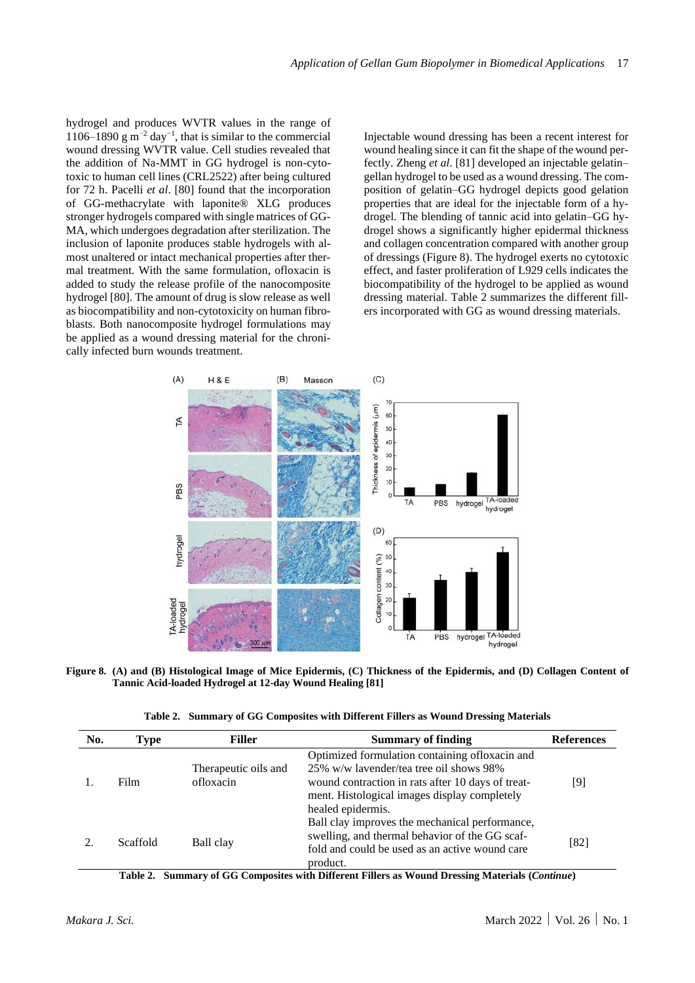hydrogel and produces WVTR values in the range of 1106–1890 g m<sup>-2</sup> day<sup>-1</sup>, that is similar to the commercial wound dressing WVTR value. Cell studies revealed that the addition of Na-MMT in GG hydrogel is non-cytotoxic to human cell lines (CRL2522) after being cultured for 72 h. Pacelli *et al*. [80] found that the incorporation of GG-methacrylate with laponite® XLG produces stronger hydrogels compared with single matrices of GG-MA, which undergoes degradation after sterilization. The inclusion of laponite produces stable hydrogels with almost unaltered or intact mechanical properties after thermal treatment. With the same formulation, ofloxacin is added to study the release profile of the nanocomposite hydrogel [80]. The amount of drug is slow release as well as biocompatibility and non-cytotoxicity on human fibroblasts. Both nanocomposite hydrogel formulations may be applied as a wound dressing material for the chronically infected burn wounds treatment.

Injectable wound dressing has been a recent interest for wound healing since it can fit the shape of the wound perfectly. Zheng *et al*. [81] developed an injectable gelatin– gellan hydrogel to be used as a wound dressing. The composition of gelatin–GG hydrogel depicts good gelation properties that are ideal for the injectable form of a hydrogel. The blending of tannic acid into gelatin–GG hydrogel shows a significantly higher epidermal thickness and collagen concentration compared with another group of dressings (Figure 8). The hydrogel exerts no cytotoxic effect, and faster proliferation of L929 cells indicates the biocompatibility of the hydrogel to be applied as wound dressing material. Table 2 summarizes the different fillers incorporated with GG as wound dressing materials.

![](_page_7_Figure_3.jpeg)

**Figure 8. (A) and (B) Histological Image of Mice Epidermis, (C) Thickness of the Epidermis, and (D) Collagen Content of Tannic Acid-loaded Hydrogel at 12-day Wound Healing [81]**

|  |  |  |  | Table 2. Summary of GG Composites with Different Fillers as Wound Dressing Materials |  |
|--|--|--|--|--------------------------------------------------------------------------------------|--|
|--|--|--|--|--------------------------------------------------------------------------------------|--|

| No. | Type     | <b>Filler</b>                     | <b>Summary of finding</b>                                                                                                                                                                                            | <b>References</b> |
|-----|----------|-----------------------------------|----------------------------------------------------------------------------------------------------------------------------------------------------------------------------------------------------------------------|-------------------|
|     | Film     | Therapeutic oils and<br>ofloxacin | Optimized formulation containing of loxacin and<br>25% w/w lavender/tea tree oil shows 98%<br>wound contraction in rats after 10 days of treat-<br>ment. Histological images display completely<br>healed epidermis. | [9]               |
|     | Scaffold | Ball clay                         | Ball clay improves the mechanical performance,<br>swelling, and thermal behavior of the GG scaf-<br>fold and could be used as an active wound care<br>product.                                                       | $[82]$            |

**Table 2. Summary of GG Composites with Different Fillers as Wound Dressing Materials (***Continue***)**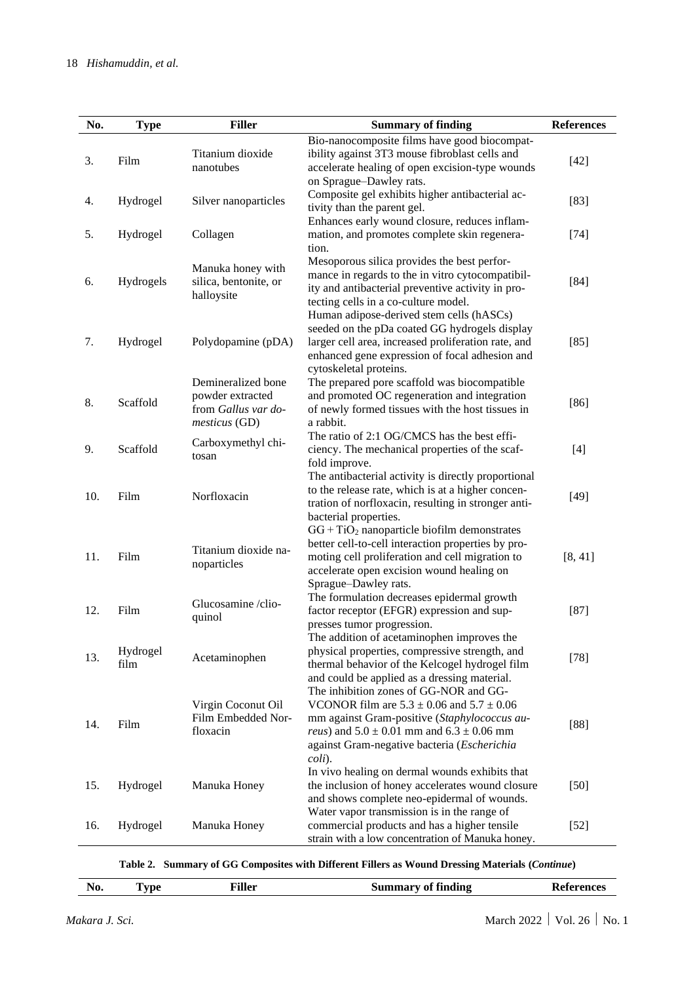| No. | <b>Type</b>      | <b>Filler</b>                                                                  | <b>Summary of finding</b>                                                                                                                                                                                                                                         | <b>References</b> |
|-----|------------------|--------------------------------------------------------------------------------|-------------------------------------------------------------------------------------------------------------------------------------------------------------------------------------------------------------------------------------------------------------------|-------------------|
| 3.  | Film             | Titanium dioxide<br>nanotubes                                                  | Bio-nanocomposite films have good biocompat-<br>ibility against 3T3 mouse fibroblast cells and<br>accelerate healing of open excision-type wounds<br>on Sprague-Dawley rats.                                                                                      | $[42]$            |
| 4.  | Hydrogel         | Silver nanoparticles                                                           | Composite gel exhibits higher antibacterial ac-<br>tivity than the parent gel.                                                                                                                                                                                    | $[83]$            |
| 5.  | Hydrogel         | Collagen                                                                       | Enhances early wound closure, reduces inflam-<br>mation, and promotes complete skin regenera-<br>tion.                                                                                                                                                            | $[74]$            |
| 6.  | Hydrogels        | Manuka honey with<br>silica, bentonite, or<br>halloysite                       | Mesoporous silica provides the best perfor-<br>mance in regards to the in vitro cytocompatibil-<br>ity and antibacterial preventive activity in pro-<br>tecting cells in a co-culture model.                                                                      | $[84]$            |
| 7.  | Hydrogel         | Polydopamine (pDA)                                                             | Human adipose-derived stem cells (hASCs)<br>seeded on the pDa coated GG hydrogels display<br>larger cell area, increased proliferation rate, and<br>enhanced gene expression of focal adhesion and<br>cytoskeletal proteins.                                      | $[85]$            |
| 8.  | Scaffold         | Demineralized bone<br>powder extracted<br>from Gallus var do-<br>mesticus (GD) | The prepared pore scaffold was biocompatible<br>and promoted OC regeneration and integration<br>of newly formed tissues with the host tissues in<br>a rabbit.                                                                                                     | $[86]$            |
| 9.  | Scaffold         | Carboxymethyl chi-<br>tosan                                                    | The ratio of 2:1 OG/CMCS has the best effi-<br>ciency. The mechanical properties of the scaf-<br>fold improve.                                                                                                                                                    | $[4]$             |
| 10. | Film             | Norfloxacin                                                                    | The antibacterial activity is directly proportional<br>to the release rate, which is at a higher concen-<br>tration of norfloxacin, resulting in stronger anti-<br>bacterial properties.                                                                          | $[49]$            |
| 11. | Film             | Titanium dioxide na-<br>noparticles                                            | $GG + TiO2$ nanoparticle biofilm demonstrates<br>better cell-to-cell interaction properties by pro-<br>moting cell proliferation and cell migration to<br>accelerate open excision wound healing on<br>Sprague-Dawley rats.                                       | [8, 41]           |
| 12. | Film             | Glucosamine /clio-<br>quinol                                                   | The formulation decreases epidermal growth<br>factor receptor (EFGR) expression and sup-<br>presses tumor progression.                                                                                                                                            | $[87]$            |
| 13. | Hydrogel<br>film | Acetaminophen                                                                  | The addition of acetaminophen improves the<br>physical properties, compressive strength, and<br>thermal behavior of the Kelcogel hydrogel film<br>and could be applied as a dressing material.                                                                    | $[78]$            |
| 14. | Film             | Virgin Coconut Oil<br>Film Embedded Nor-<br>floxacin                           | The inhibition zones of GG-NOR and GG-<br>VCONOR film are $5.3 \pm 0.06$ and $5.7 \pm 0.06$<br>mm against Gram-positive (Staphylococcus au-<br><i>reus</i> ) and $5.0 \pm 0.01$ mm and $6.3 \pm 0.06$ mm<br>against Gram-negative bacteria (Escherichia<br>coli). | $[88]$            |
| 15. | Hydrogel         | Manuka Honey                                                                   | In vivo healing on dermal wounds exhibits that<br>the inclusion of honey accelerates wound closure<br>and shows complete neo-epidermal of wounds.                                                                                                                 | $[50]$            |
| 16. | Hydrogel         | Manuka Honey                                                                   | Water vapor transmission is in the range of<br>commercial products and has a higher tensile<br>strain with a low concentration of Manuka honey.                                                                                                                   | $[52]$            |

**Table 2. Summary of GG Composites with Different Fillers as Wound Dressing Materials (***Continue***)**

|  | - -<br>TIA. | D<br>-<br>$\overline{\phantom{a}}$ |  | $\overline{\phantom{a}}$<br>____ | . |
|--|-------------|------------------------------------|--|----------------------------------|---|
|--|-------------|------------------------------------|--|----------------------------------|---|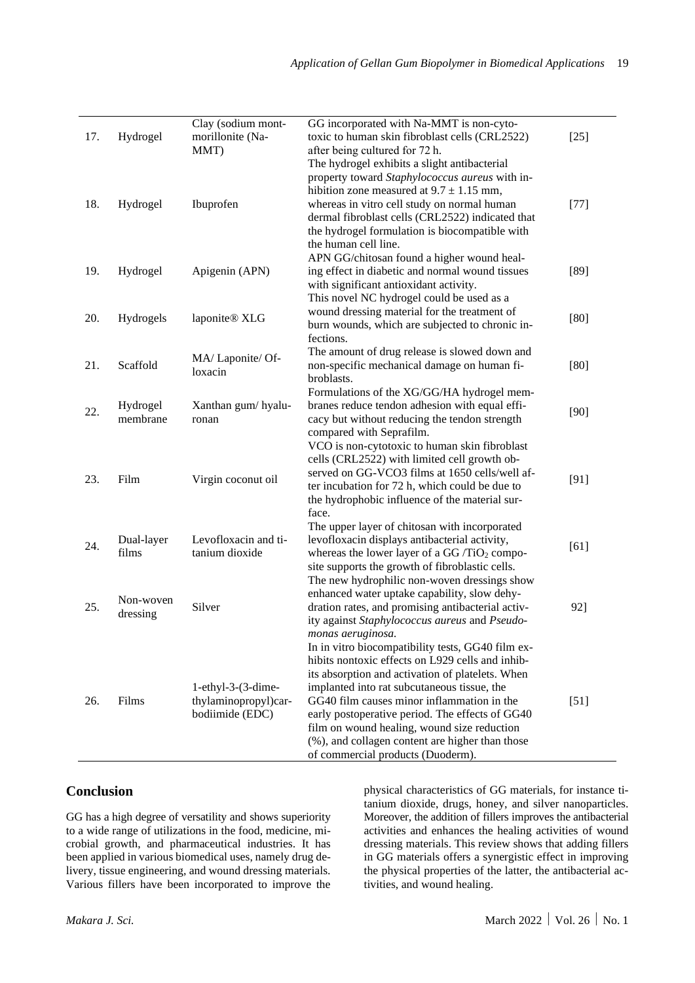|     |                     | Clay (sodium mont-        | GG incorporated with Na-MMT is non-cyto-                                                          |        |
|-----|---------------------|---------------------------|---------------------------------------------------------------------------------------------------|--------|
| 17. | Hydrogel            | morillonite (Na-          | toxic to human skin fibroblast cells (CRL2522)                                                    | $[25]$ |
|     |                     | MMT)                      | after being cultured for 72 h.                                                                    |        |
|     |                     |                           | The hydrogel exhibits a slight antibacterial                                                      |        |
|     |                     |                           | property toward Staphylococcus aureus with in-                                                    |        |
|     |                     |                           | hibition zone measured at $9.7 \pm 1.15$ mm,                                                      |        |
| 18. | Hydrogel            | Ibuprofen                 | whereas in vitro cell study on normal human                                                       | $[77]$ |
|     |                     |                           | dermal fibroblast cells (CRL2522) indicated that                                                  |        |
|     |                     |                           | the hydrogel formulation is biocompatible with                                                    |        |
|     |                     |                           | the human cell line.                                                                              |        |
|     |                     |                           | APN GG/chitosan found a higher wound heal-                                                        |        |
| 19. | Hydrogel            | Apigenin (APN)            | ing effect in diabetic and normal wound tissues                                                   | $[89]$ |
|     |                     |                           | with significant antioxidant activity.                                                            |        |
|     |                     |                           | This novel NC hydrogel could be used as a                                                         |        |
| 20. | Hydrogels           | laponite® XLG             | wound dressing material for the treatment of                                                      | $[80]$ |
|     |                     |                           | burn wounds, which are subjected to chronic in-                                                   |        |
|     |                     |                           | fections.                                                                                         |        |
|     |                     | MA/Laponite/Of-           | The amount of drug release is slowed down and                                                     |        |
| 21. | Scaffold            | loxacin                   | non-specific mechanical damage on human fi-                                                       | [80]   |
|     |                     |                           | broblasts.                                                                                        |        |
|     |                     |                           | Formulations of the XG/GG/HA hydrogel mem-                                                        |        |
| 22. | Hydrogel            | Xanthan gum/hyalu-        | branes reduce tendon adhesion with equal effi-                                                    | [90]   |
|     | membrane            | ronan                     | cacy but without reducing the tendon strength                                                     |        |
|     |                     |                           | compared with Seprafilm.                                                                          |        |
|     |                     |                           | VCO is non-cytotoxic to human skin fibroblast                                                     |        |
|     |                     |                           | cells (CRL2522) with limited cell growth ob-                                                      |        |
| 23. | Film                | Virgin coconut oil        | served on GG-VCO3 films at 1650 cells/well af-                                                    | [91]   |
|     |                     |                           | ter incubation for 72 h, which could be due to                                                    |        |
|     |                     |                           | the hydrophobic influence of the material sur-                                                    |        |
|     |                     |                           | face.                                                                                             |        |
|     |                     | Levofloxacin and ti-      | The upper layer of chitosan with incorporated                                                     |        |
| 24. | Dual-layer<br>films | tanium dioxide            | levofloxacin displays antibacterial activity,                                                     | [61]   |
|     |                     |                           | whereas the lower layer of a GG $/TiO2$ compo-<br>site supports the growth of fibroblastic cells. |        |
|     |                     |                           | The new hydrophilic non-woven dressings show                                                      |        |
|     |                     |                           | enhanced water uptake capability, slow dehy-                                                      |        |
| 25. | Non-woven           | Silver                    | dration rates, and promising antibacterial activ-                                                 | 92]    |
|     | dressing            |                           | ity against Staphylococcus aureus and Pseudo-                                                     |        |
|     |                     |                           | monas aeruginosa.                                                                                 |        |
|     |                     |                           | In in vitro biocompatibility tests, GG40 film ex-                                                 |        |
|     |                     |                           | hibits nontoxic effects on L929 cells and inhib-                                                  |        |
|     |                     |                           | its absorption and activation of platelets. When                                                  |        |
|     |                     | $1$ -ethyl-3- $(3$ -dime- | implanted into rat subcutaneous tissue, the                                                       |        |
| 26. | Films               | thylaminopropyl)car-      | GG40 film causes minor inflammation in the                                                        | $[51]$ |
|     |                     | bodiimide (EDC)           | early postoperative period. The effects of GG40                                                   |        |
|     |                     |                           | film on wound healing, wound size reduction                                                       |        |
|     |                     |                           | (%), and collagen content are higher than those                                                   |        |
|     |                     |                           | of commercial products (Duoderm).                                                                 |        |

### **Conclusion**

GG has a high degree of versatility and shows superiority to a wide range of utilizations in the food, medicine, microbial growth, and pharmaceutical industries. It has been applied in various biomedical uses, namely drug delivery, tissue engineering, and wound dressing materials. Various fillers have been incorporated to improve the

physical characteristics of GG materials, for instance titanium dioxide, drugs, honey, and silver nanoparticles. Moreover, the addition of fillers improves the antibacterial activities and enhances the healing activities of wound dressing materials. This review shows that adding fillers in GG materials offers a synergistic effect in improving the physical properties of the latter, the antibacterial activities, and wound healing.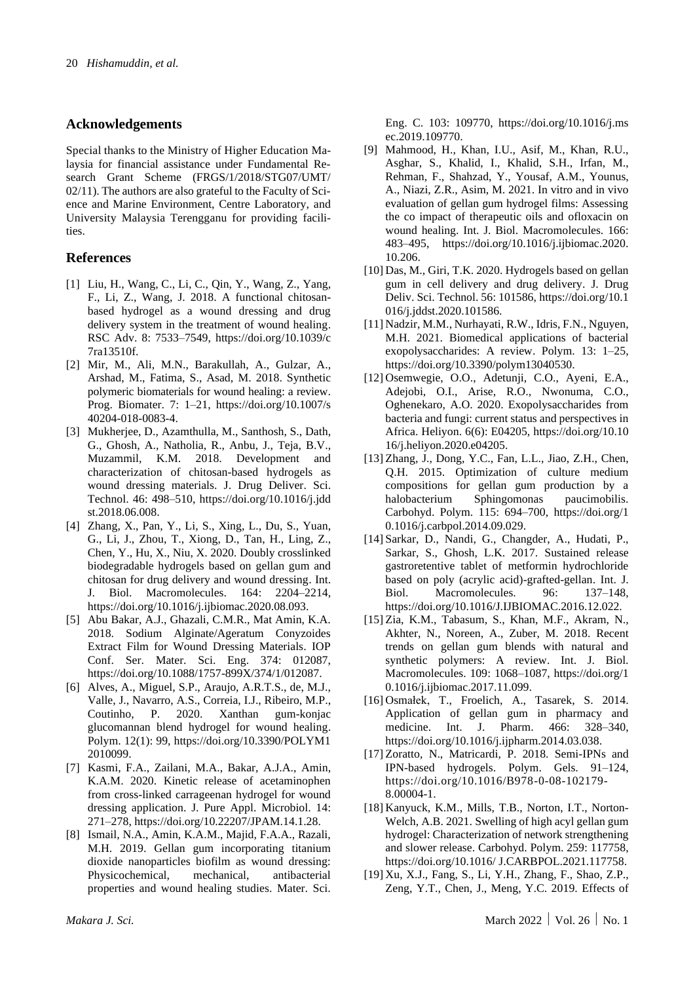#### **Acknowledgements**

Special thanks to the Ministry of Higher Education Malaysia for financial assistance under Fundamental Research Grant Scheme (FRGS/1/2018/STG07/UMT/ 02/11). The authors are also grateful to the Faculty of Science and Marine Environment, Centre Laboratory, and University Malaysia Terengganu for providing facilities.

#### **References**

- [1] Liu, H., Wang, C., Li, C., Qin, Y., Wang, Z., Yang, F., Li, Z., Wang, J. 2018. A functional chitosanbased hydrogel as a wound dressing and drug delivery system in the treatment of wound healing. RSC Adv. 8: 7533–7549, https://doi.org/10.1039/c 7ra13510f.
- [2] Mir, M., Ali, M.N., Barakullah, A., Gulzar, A., Arshad, M., Fatima, S., Asad, M. 2018. Synthetic polymeric biomaterials for wound healing: a review. Prog. Biomater. 7: 1–21, https://doi.org/10.1007/s 40204-018-0083-4.
- [3] Mukherjee, D., Azamthulla, M., Santhosh, S., Dath, G., Ghosh, A., Natholia, R., Anbu, J., Teja, B.V., Muzammil, K.M. 2018. Development and characterization of chitosan-based hydrogels as wound dressing materials. J. Drug Deliver. Sci. Technol. 46: 498–510, https://doi.org/10.1016/j.jdd st.2018.06.008.
- [4] Zhang, X., Pan, Y., Li, S., Xing, L., Du, S., Yuan, G., Li, J., Zhou, T., Xiong, D., Tan, H., Ling, Z., Chen, Y., Hu, X., Niu, X. 2020. Doubly crosslinked biodegradable hydrogels based on gellan gum and chitosan for drug delivery and wound dressing. Int. J. Biol. Macromolecules. 164: 2204–2214, https://doi.org/10.1016/j.ijbiomac.2020.08.093.
- [5] Abu Bakar, A.J., Ghazali, C.M.R., Mat Amin, K.A. 2018. Sodium Alginate/Ageratum Conyzoides Extract Film for Wound Dressing Materials. IOP Conf. Ser. Mater. Sci. Eng. 374: 012087, https://doi.org/10.1088/1757-899X/374/1/012087.
- [6] Alves, A., Miguel, S.P., Araujo, A.R.T.S., de, M.J., Valle, J., Navarro, A.S., Correia, I.J., Ribeiro, M.P., Coutinho, P. 2020. Xanthan gum-konjac glucomannan blend hydrogel for wound healing. Polym. 12(1): 99, https://doi.org/10.3390/POLYM1 2010099.
- [7] Kasmi, F.A., Zailani, M.A., Bakar, A.J.A., Amin, K.A.M. 2020. Kinetic release of acetaminophen from cross-linked carrageenan hydrogel for wound dressing application. J. Pure Appl. Microbiol. 14: 271–278, https://doi.org/10.22207/JPAM.14.1.28.
- [8] Ismail, N.A., Amin, K.A.M., Majid, F.A.A., Razali, M.H. 2019. Gellan gum incorporating titanium dioxide nanoparticles biofilm as wound dressing: Physicochemical, mechanical, antibacterial properties and wound healing studies. Mater. Sci.

Eng. C. 103: 109770, https://doi.org/10.1016/j.ms ec.2019.109770.

- [9] Mahmood, H., Khan, I.U., Asif, M., Khan, R.U., Asghar, S., Khalid, I., Khalid, S.H., Irfan, M., Rehman, F., Shahzad, Y., Yousaf, A.M., Younus, A., Niazi, Z.R., Asim, M. 2021. In vitro and in vivo evaluation of gellan gum hydrogel films: Assessing the co impact of therapeutic oils and ofloxacin on wound healing. Int. J. Biol. Macromolecules. 166: 483–495, https://doi.org/10.1016/j.ijbiomac.2020. 10.206.
- [10] Das, M., Giri, T.K. 2020. Hydrogels based on gellan gum in cell delivery and drug delivery. J. Drug Deliv. Sci. Technol. 56: 101586, https://doi.org/10.1 016/j.jddst.2020.101586.
- [11] Nadzir, M.M., Nurhayati, R.W., Idris, F.N., Nguyen, M.H. 2021. Biomedical applications of bacterial exopolysaccharides: A review. Polym. 13: 1–25, https://doi.org/10.3390/polym13040530.
- [12] Osemwegie, O.O., Adetunji, C.O., Ayeni, E.A., Adejobi, O.I., Arise, R.O., Nwonuma, C.O., Oghenekaro, A.O. 2020. Exopolysaccharides from bacteria and fungi: current status and perspectives in Africa. Heliyon. 6(6): E04205, https://doi.org/10.10 16/j.heliyon.2020.e04205.
- [13] Zhang, J., Dong, Y.C., Fan, L.L., Jiao, Z.H., Chen, Q.H. 2015. Optimization of culture medium compositions for gellan gum production by a halobacterium Sphingomonas paucimobilis. halobacterium Sphingomonas Carbohyd. Polym. 115: 694–700, https://doi.org/1 0.1016/j.carbpol.2014.09.029.
- [14] Sarkar, D., Nandi, G., Changder, A., Hudati, P., Sarkar, S., Ghosh, L.K. 2017. Sustained release gastroretentive tablet of metformin hydrochloride based on poly (acrylic acid)-grafted-gellan. Int. J. Biol. Macromolecules. 96: 137–148, https://doi.org/10.1016/J.IJBIOMAC.2016.12.022.
- [15] Zia, K.M., Tabasum, S., Khan, M.F., Akram, N., Akhter, N., Noreen, A., Zuber, M. 2018. Recent trends on gellan gum blends with natural and synthetic polymers: A review. Int. J. Biol. Macromolecules. 109: 1068–1087, https://doi.org/1 0.1016/j.ijbiomac.2017.11.099.
- [16] Osmałek, T., Froelich, A., Tasarek, S. 2014. Application of gellan gum in pharmacy and medicine. Int. J. Pharm. 466: 328–340, https://doi.org/10.1016/j.ijpharm.2014.03.038.
- [17] Zoratto, N., Matricardi, P. 2018. Semi-IPNs and IPN-based hydrogels. Polym. Gels. 91–124, https://doi.org/10.1016/B978-0-08-102179- 8.00004-1.
- [18] Kanyuck, K.M., Mills, T.B., Norton, I.T., Norton-Welch, A.B. 2021. Swelling of high acyl gellan gum hydrogel: Characterization of network strengthening and slower release. Carbohyd. Polym. 259: 117758, https://doi.org/10.1016/ J.CARBPOL.2021.117758.
- [19] Xu, X.J., Fang, S., Li, Y.H., Zhang, F., Shao, Z.P., Zeng, Y.T., Chen, J., Meng, Y.C. 2019. Effects of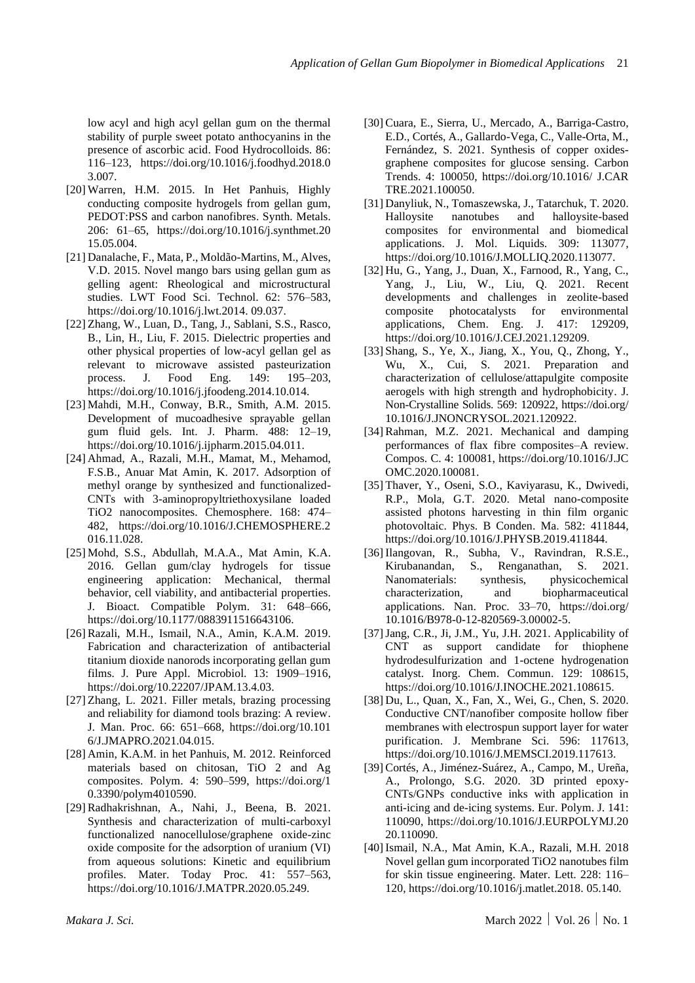low acyl and high acyl gellan gum on the thermal stability of purple sweet potato anthocyanins in the presence of ascorbic acid. Food Hydrocolloids. 86: 116–123, https://doi.org/10.1016/j.foodhyd.2018.0 3.007.

- [20] Warren, H.M. 2015. In Het Panhuis, Highly conducting composite hydrogels from gellan gum, PEDOT:PSS and carbon nanofibres. Synth. Metals. 206: 61–65, https://doi.org/10.1016/j.synthmet.20 15.05.004.
- [21] Danalache, F., Mata, P., Moldão-Martins, M., Alves, V.D. 2015. Novel mango bars using gellan gum as gelling agent: Rheological and microstructural studies. LWT Food Sci. Technol. 62: 576–583, https://doi.org/10.1016/j.lwt.2014. 09.037.
- [22] Zhang, W., Luan, D., Tang, J., Sablani, S.S., Rasco, B., Lin, H., Liu, F. 2015. Dielectric properties and other physical properties of low-acyl gellan gel as relevant to microwave assisted pasteurization process. J. Food Eng. 149: 195–203, https://doi.org/10.1016/j.jfoodeng.2014.10.014.
- [23] Mahdi, M.H., Conway, B.R., Smith, A.M. 2015. Development of mucoadhesive sprayable gellan gum fluid gels. Int. J. Pharm. 488: 12–19, https://doi.org/10.1016/j.ijpharm.2015.04.011.
- [24] Ahmad, A., Razali, M.H., Mamat, M., Mehamod, F.S.B., Anuar Mat Amin, K. 2017. Adsorption of methyl orange by synthesized and functionalized-CNTs with 3-aminopropyltriethoxysilane loaded TiO2 nanocomposites. Chemosphere. 168: 474– 482, https://doi.org/10.1016/J.CHEMOSPHERE.2 016.11.028.
- [25] Mohd, S.S., Abdullah, M.A.A., Mat Amin, K.A. 2016. Gellan gum/clay hydrogels for tissue engineering application: Mechanical, thermal behavior, cell viability, and antibacterial properties. J. Bioact. Compatible Polym. 31: 648–666, https://doi.org/10.1177/0883911516643106.
- [26] Razali, M.H., Ismail, N.A., Amin, K.A.M. 2019. Fabrication and characterization of antibacterial titanium dioxide nanorods incorporating gellan gum films. J. Pure Appl. Microbiol. 13: 1909–1916, https://doi.org/10.22207/JPAM.13.4.03.
- [27] Zhang, L. 2021. Filler metals, brazing processing and reliability for diamond tools brazing: A review. J. Man. Proc. 66: 651–668, https://doi.org/10.101 6/J.JMAPRO.2021.04.015.
- [28] Amin, K.A.M. in het Panhuis, M. 2012. Reinforced materials based on chitosan, TiO 2 and Ag composites. Polym. 4: 590–599, https://doi.org/1 0.3390/polym4010590.
- [29] Radhakrishnan, A., Nahi, J., Beena, B. 2021. Synthesis and characterization of multi-carboxyl functionalized nanocellulose/graphene oxide-zinc oxide composite for the adsorption of uranium (VI) from aqueous solutions: Kinetic and equilibrium profiles. Mater. Today Proc. 41: 557–563, https://doi.org/10.1016/J.MATPR.2020.05.249.
- [30] Cuara, E., Sierra, U., Mercado, A., Barriga-Castro, E.D., Cortés, A., Gallardo-Vega, C., Valle-Orta, M., Fernández, S. 2021. Synthesis of copper oxidesgraphene composites for glucose sensing. Carbon Trends. 4: 100050, https://doi.org/10.1016/ J.CAR TRE.2021.100050.
- [31] Danyliuk, N., Tomaszewska, J., Tatarchuk, T. 2020. Halloysite nanotubes and halloysite-based composites for environmental and biomedical applications. J. Mol. Liquids. 309: 113077, https://doi.org/10.1016/J.MOLLIQ.2020.113077.
- [32] Hu, G., Yang, J., Duan, X., Farnood, R., Yang, C., Yang, J., Liu, W., Liu, Q. 2021. Recent developments and challenges in zeolite-based composite photocatalysts for environmental applications, Chem. Eng. J. 417: 129209, https://doi.org/10.1016/J.CEJ.2021.129209.
- [33] Shang, S., Ye, X., Jiang, X., You, Q., Zhong, Y., Wu, X., Cui, S. 2021. Preparation and characterization of cellulose/attapulgite composite aerogels with high strength and hydrophobicity. J. Non-Crystalline Solids. 569: 120922, <https://doi.org/> 10.1016/J.JNONCRYSOL.2021.120922.
- [34] Rahman, M.Z. 2021. Mechanical and damping performances of flax fibre composites–A review. Compos. C. 4: 100081, https://doi.org/10.1016/J.JC OMC.2020.100081.
- [35] Thaver, Y., Oseni, S.O., Kaviyarasu, K., Dwivedi, R.P., Mola, G.T. 2020. Metal nano-composite assisted photons harvesting in thin film organic photovoltaic. Phys. B Conden. Ma. 582: 411844, https://doi.org/10.1016/J.PHYSB.2019.411844.
- [36] Ilangovan, R., Subha, V., Ravindran, R.S.E., Kirubanandan, S., Renganathan, S. 2021. Nanomaterials: synthesis, physicochemical characterization, and biopharmaceutical applications. Nan. Proc. 33–70, https://doi.org/ 10.1016/B978-0-12-820569-3.00002-5.
- [37]Jang, C.R., Ji, J.M., Yu, J.H. 2021. Applicability of CNT as support candidate for thiophene hydrodesulfurization and 1-octene hydrogenation catalyst. Inorg. Chem. Commun. 129: 108615, https://doi.org/10.1016/J.INOCHE.2021.108615.
- [38] Du, L., Quan, X., Fan, X., Wei, G., Chen, S. 2020. Conductive CNT/nanofiber composite hollow fiber membranes with electrospun support layer for water purification. J. Membrane Sci. 596: 117613, https://doi.org/10.1016/J.MEMSCI.2019.117613.
- [39] Cortés, A., Jiménez-Suárez, A., Campo, M., Ureña, A., Prolongo, S.G. 2020. 3D printed epoxy-CNTs/GNPs conductive inks with application in anti-icing and de-icing systems. Eur. Polym. J. 141: 110090, https://doi.org/10.1016/J.EURPOLYMJ.20 20.110090.
- [40] Ismail, N.A., Mat Amin, K.A., Razali, M.H. 2018 Novel gellan gum incorporated TiO2 nanotubes film for skin tissue engineering. Mater. Lett. 228: 116– 120, https://doi.org/10.1016/j.matlet.2018. 05.140.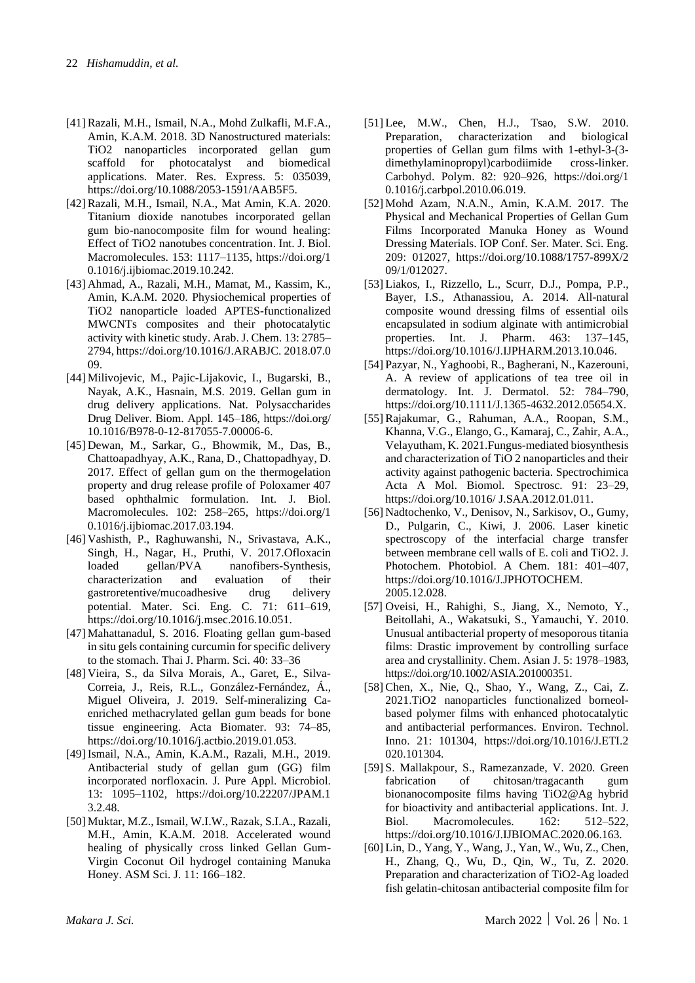- [41] Razali, M.H., Ismail, N.A., Mohd Zulkafli, M.F.A., Amin, K.A.M. 2018. 3D Nanostructured materials: TiO2 nanoparticles incorporated gellan gum scaffold for photocatalyst and biomedical applications. Mater. Res. Express. 5: 035039, https://doi.org/10.1088/2053-1591/AAB5F5.
- [42] Razali, M.H., Ismail, N.A., Mat Amin, K.A. 2020. Titanium dioxide nanotubes incorporated gellan gum bio-nanocomposite film for wound healing: Effect of TiO2 nanotubes concentration. Int. J. Biol. Macromolecules. 153: 1117–1135, https://doi.org/1 0.1016/j.ijbiomac.2019.10.242.
- [43] Ahmad, A., Razali, M.H., Mamat, M., Kassim, K., Amin, K.A.M. 2020. Physiochemical properties of TiO2 nanoparticle loaded APTES-functionalized MWCNTs composites and their photocatalytic activity with kinetic study. Arab. J. Chem. 13: 2785– 2794, https://doi.org/10.1016/J.ARABJC. 2018.07.0 09.
- [44] Milivojevic, M., Pajic-Lijakovic, I., Bugarski, B., Nayak, A.K., Hasnain, M.S. 2019. Gellan gum in drug delivery applications. Nat. Polysaccharides Drug Deliver. Biom. Appl. 145–186, <https://doi.org/> 10.1016/B978-0-12-817055-7.00006-6.
- [45] Dewan, M., Sarkar, G., Bhowmik, M., Das, B., Chattoapadhyay, A.K., Rana, D., Chattopadhyay, D. 2017. Effect of gellan gum on the thermogelation property and drug release profile of Poloxamer 407 based ophthalmic formulation. Int. J. Biol. Macromolecules. 102: 258–265, https://doi.org/1 0.1016/j.ijbiomac.2017.03.194.
- [46] Vashisth, P., Raghuwanshi, N., Srivastava, A.K., Singh, H., Nagar, H., Pruthi, V. 2017.Ofloxacin loaded gellan/PVA nanofibers-Synthesis, characterization and evaluation of their gastroretentive/mucoadhesive drug delivery potential. Mater. Sci. Eng. C. 71: 611–619, https://doi.org/10.1016/j.msec.2016.10.051.
- [47] Mahattanadul, S. 2016. Floating gellan gum-based in situ gels containing curcumin for specific delivery to the stomach. Thai J. Pharm. Sci. 40: 33–36
- [48] Vieira, S., da Silva Morais, A., Garet, E., Silva-Correia, J., Reis, R.L., González-Fernández, Á., Miguel Oliveira, J. 2019. Self-mineralizing Caenriched methacrylated gellan gum beads for bone tissue engineering. Acta Biomater. 93: 74–85, https://doi.org/10.1016/j.actbio.2019.01.053.
- [49] Ismail, N.A., Amin, K.A.M., Razali, M.H., 2019. Antibacterial study of gellan gum (GG) film incorporated norfloxacin. J. Pure Appl. Microbiol. 13: 1095–1102, https://doi.org/10.22207/JPAM.1 3.2.48.
- [50] Muktar, M.Z., Ismail, W.I.W., Razak, S.I.A., Razali, M.H., Amin, K.A.M. 2018. Accelerated wound healing of physically cross linked Gellan Gum-Virgin Coconut Oil hydrogel containing Manuka Honey. ASM Sci. J. 11: 166–182.
- [51] Lee, M.W., Chen, H.J., Tsao, S.W. 2010. Preparation, characterization and biological properties of Gellan gum films with 1-ethyl-3-(3 dimethylaminopropyl)carbodiimide cross-linker. Carbohyd. Polym. 82: 920–926, https://doi.org/1 0.1016/j.carbpol.2010.06.019.
- [52] Mohd Azam, N.A.N., Amin, K.A.M. 2017. The Physical and Mechanical Properties of Gellan Gum Films Incorporated Manuka Honey as Wound Dressing Materials. IOP Conf. Ser. Mater. Sci. Eng. 209: 012027, https://doi.org/10.1088/1757-899X/2 09/1/012027.
- [53] Liakos, I., Rizzello, L., Scurr, D.J., Pompa, P.P., Bayer, I.S., Athanassiou, A. 2014. All-natural composite wound dressing films of essential oils encapsulated in sodium alginate with antimicrobial properties. Int. J. Pharm. 463: 137–145, https://doi.org/10.1016/J.IJPHARM.2013.10.046.
- [54] Pazyar, N., Yaghoobi, R., Bagherani, N., Kazerouni, A. A review of applications of tea tree oil in dermatology. Int. J. Dermatol. 52: 784–790, https://doi.org/10.1111/J.1365-4632.2012.05654.X.
- [55] Rajakumar, G., Rahuman, A.A., Roopan, S.M., Khanna, V.G., Elango, G., Kamaraj, C., Zahir, A.A., Velayutham, K. 2021.Fungus-mediated biosynthesis and characterization of TiO 2 nanoparticles and their activity against pathogenic bacteria. Spectrochimica Acta A Mol. Biomol. Spectrosc. 91: 23–29, https://doi.org/10.1016/ J.SAA.2012.01.011.
- [56] Nadtochenko, V., Denisov, N., Sarkisov, O., Gumy, D., Pulgarin, C., Kiwi, J. 2006. Laser kinetic spectroscopy of the interfacial charge transfer between membrane cell walls of E. coli and TiO2. J. Photochem. Photobiol. A Chem. 181: 401–407, https://doi.org/10.1016/J.JPHOTOCHEM. 2005.12.028.
- [57] Oveisi, H., Rahighi, S., Jiang, X., Nemoto, Y., Beitollahi, A., Wakatsuki, S., Yamauchi, Y. 2010. Unusual antibacterial property of mesoporous titania films: Drastic improvement by controlling surface area and crystallinity. Chem. Asian J. 5: 1978–1983, https://doi.org/10.1002/ASIA.201000351.
- [58] Chen, X., Nie, Q., Shao, Y., Wang, Z., Cai, Z. 2021.TiO2 nanoparticles functionalized borneolbased polymer films with enhanced photocatalytic and antibacterial performances. Environ. Technol. Inno. 21: 101304, https://doi.org/10.1016/J.ETI.2 020.101304.
- [59] S. Mallakpour, S., Ramezanzade, V. 2020. Green fabrication of chitosan/tragacanth gum bionanocomposite films having TiO2@Ag hybrid for bioactivity and antibacterial applications. Int. J. Biol. Macromolecules. 162: 512–522, https://doi.org/10.1016/J.IJBIOMAC.2020.06.163.
- [60] Lin, D., Yang, Y., Wang, J., Yan, W., Wu, Z., Chen, H., Zhang, Q., Wu, D., Qin, W., Tu, Z. 2020. Preparation and characterization of TiO2-Ag loaded fish gelatin-chitosan antibacterial composite film for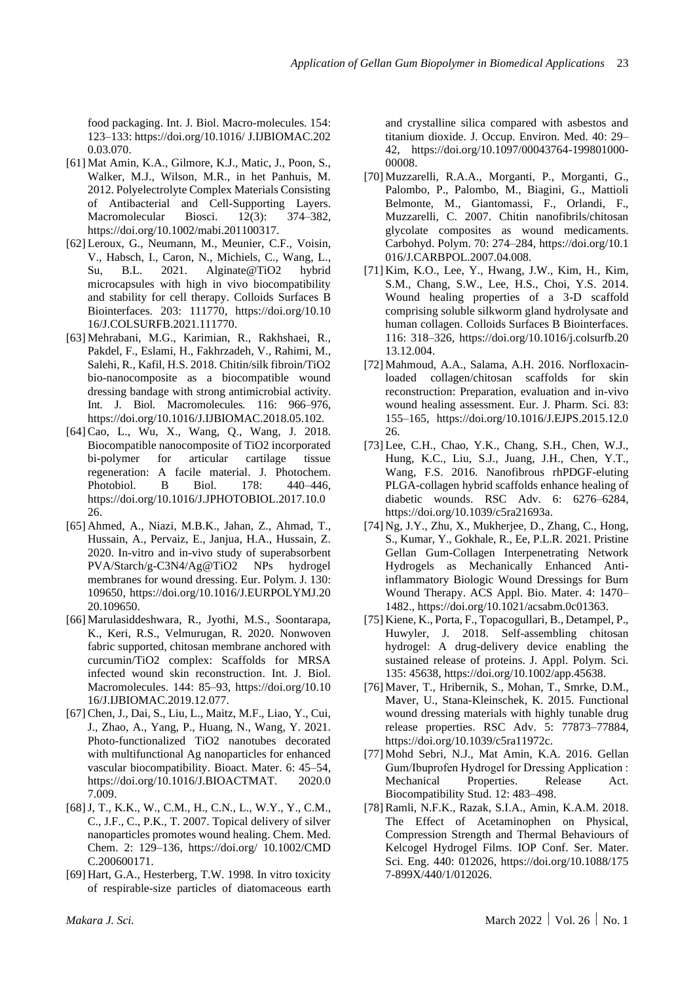food packaging. Int. J. Biol. Macro-molecules. 154: 123–133: https://doi.org/10.1016/ J.IJBIOMAC.202 0.03.070.

- [61] Mat Amin, K.A., Gilmore, K.J., Matic, J., Poon, S., Walker, M.J., Wilson, M.R., in het Panhuis, M. 2012. Polyelectrolyte Complex Materials Consisting of Antibacterial and Cell-Supporting Layers. Macromolecular Biosci. 12(3): 374–382. https://doi.org/10.1002/mabi.201100317.
- [62] Leroux, G., Neumann, M., Meunier, C.F., Voisin, V., Habsch, I., Caron, N., Michiels, C., Wang, L., Su, B.L. 2021. Alginate@TiO2 hybrid microcapsules with high in vivo biocompatibility and stability for cell therapy. Colloids Surfaces B Biointerfaces. 203: 111770, https://doi.org/10.10 16/J.COLSURFB.2021.111770.
- [63] Mehrabani, M.G., Karimian, R., Rakhshaei, R., Pakdel, F., Eslami, H., Fakhrzadeh, V., Rahimi, M., Salehi, R., Kafil, H.S. 2018. Chitin/silk fibroin/TiO2 bio-nanocomposite as a biocompatible wound dressing bandage with strong antimicrobial activity. Int. J. Biol. Macromolecules. 116: 966–976, https://doi.org/10.1016/J.IJBIOMAC.2018.05.102.
- [64] Cao, L., Wu, X., Wang, Q., Wang, J. 2018. Biocompatible nanocomposite of TiO2 incorporated bi-polymer for articular cartilage tissue regeneration: A facile material. J. Photochem. Photobiol. B Biol. 178: 440–446, https://doi.org/10.1016/J.JPHOTOBIOL.2017.10.0 26.
- [65] Ahmed, A., Niazi, M.B.K., Jahan, Z., Ahmad, T., Hussain, A., Pervaiz, E., Janjua, H.A., Hussain, Z. 2020. In-vitro and in-vivo study of superabsorbent PVA/Starch/g-C3N4/Ag@TiO2 NPs hydrogel membranes for wound dressing. Eur. Polym. J. 130: 109650, https://doi.org/10.1016/J.EURPOLYMJ.20 20.109650.
- [66] Marulasiddeshwara, R., Jyothi, M.S., Soontarapa, K., Keri, R.S., Velmurugan, R. 2020. Nonwoven fabric supported, chitosan membrane anchored with curcumin/TiO2 complex: Scaffolds for MRSA infected wound skin reconstruction. Int. J. Biol. Macromolecules. 144: 85–93, https://doi.org/10.10 16/J.IJBIOMAC.2019.12.077.
- [67] Chen, J., Dai, S., Liu, L., Maitz, M.F., Liao, Y., Cui, J., Zhao, A., Yang, P., Huang, N., Wang, Y. 2021. Photo-functionalized TiO2 nanotubes decorated with multifunctional Ag nanoparticles for enhanced vascular biocompatibility. Bioact. Mater. 6: 45–54, https://doi.org/10.1016/J.BIOACTMAT. 2020.0 7.009.
- [68]J, T., K.K., W., C.M., H., C.N., L., W.Y., Y., C.M., C., J.F., C., P.K., T. 2007. Topical delivery of silver nanoparticles promotes wound healing. Chem. Med. Chem. 2: 129–136, https://doi.org/ 10.1002/CMD C.200600171.
- [69] Hart, G.A., Hesterberg, T.W. 1998. In vitro toxicity of respirable-size particles of diatomaceous earth

and crystalline silica compared with asbestos and titanium dioxide. J. Occup. Environ. Med. 40: 29– 42, https://doi.org/10.1097/00043764-199801000- 00008.

- [70] Muzzarelli, R.A.A., Morganti, P., Morganti, G., Palombo, P., Palombo, M., Biagini, G., Mattioli Belmonte, M., Giantomassi, F., Orlandi, F., Muzzarelli, C. 2007. Chitin nanofibrils/chitosan glycolate composites as wound medicaments. Carbohyd. Polym. 70: 274–284, https://doi.org/10.1 016/J.CARBPOL.2007.04.008.
- [71] Kim, K.O., Lee, Y., Hwang, J.W., Kim, H., Kim, S.M., Chang, S.W., Lee, H.S., Choi, Y.S. 2014. Wound healing properties of a 3-D scaffold comprising soluble silkworm gland hydrolysate and human collagen. Colloids Surfaces B Biointerfaces. 116: 318–326, https://doi.org/10.1016/j.colsurfb.20 13.12.004.
- [72] Mahmoud, A.A., Salama, A.H. 2016. Norfloxacinloaded collagen/chitosan scaffolds for skin reconstruction: Preparation, evaluation and in-vivo wound healing assessment. Eur. J. Pharm. Sci. 83: 155–165, https://doi.org/10.1016/J.EJPS.2015.12.0 26.
- [73] Lee, C.H., Chao, Y.K., Chang, S.H., Chen, W.J., Hung, K.C., Liu, S.J., Juang, J.H., Chen, Y.T., Wang, F.S. 2016. Nanofibrous rhPDGF-eluting PLGA-collagen hybrid scaffolds enhance healing of diabetic wounds. RSC Adv. 6: 6276–6284, https://doi.org/10.1039/c5ra21693a.
- [74] Ng, J.Y., Zhu, X., Mukherjee, D., Zhang, C., Hong, S., Kumar, Y., Gokhale, R., Ee, P.L.R. 2021. Pristine Gellan Gum-Collagen Interpenetrating Network Hydrogels as Mechanically Enhanced Antiinflammatory Biologic Wound Dressings for Burn Wound Therapy. ACS Appl. Bio. Mater. 4: 1470– 1482., https://doi.org/10.1021/acsabm.0c01363.
- [75] Kiene, K., Porta, F., Topacogullari, B., Detampel, P., Huwyler, J. 2018. Self-assembling chitosan hydrogel: A drug-delivery device enabling the sustained release of proteins. J. Appl. Polym. Sci. 135: 45638, https://doi.org/10.1002/app.45638.
- [76] Maver, T., Hribernik, S., Mohan, T., Smrke, D.M., Maver, U., Stana-Kleinschek, K. 2015. Functional wound dressing materials with highly tunable drug release properties. RSC Adv. 5: 77873–77884, https://doi.org/10.1039/c5ra11972c.
- [77] Mohd Sebri, N.J., Mat Amin, K.A. 2016. Gellan Gum/Ibuprofen Hydrogel for Dressing Application : Mechanical Properties. Release Act. Biocompatibility Stud. 12: 483–498.
- [78] Ramli, N.F.K., Razak, S.I.A., Amin, K.A.M. 2018. The Effect of Acetaminophen on Physical, Compression Strength and Thermal Behaviours of Kelcogel Hydrogel Films. IOP Conf. Ser. Mater. Sci. Eng. 440: 012026, https://doi.org/10.1088/175 7-899X/440/1/012026.